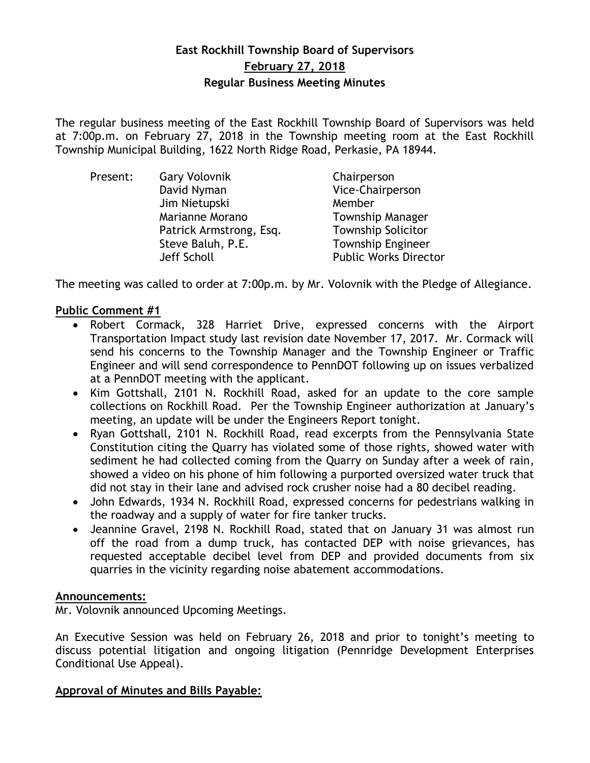# **East Rockhill Township Board of Supervisors February 27, 2018 Regular Business Meeting Minutes**

The regular business meeting of the East Rockhill Township Board of Supervisors was held at 7:00p.m. on February 27, 2018 in the Township meeting room at the East Rockhill Township Municipal Building, 1622 North Ridge Road, Perkasie, PA 18944.

| Present: | <b>Gary Volovnik</b>    | Chairperson                  |
|----------|-------------------------|------------------------------|
|          | David Nyman             | Vice-Chairperson             |
|          | Jim Nietupski           | Member                       |
|          | Marianne Morano         | <b>Township Manager</b>      |
|          | Patrick Armstrong, Esq. | <b>Township Solicitor</b>    |
|          | Steve Baluh, P.E.       | <b>Township Engineer</b>     |
|          | Jeff Scholl             | <b>Public Works Director</b> |

The meeting was called to order at 7:00p.m. by Mr. Volovnik with the Pledge of Allegiance.

# **Public Comment #1**

- Robert Cormack, 328 Harriet Drive, expressed concerns with the Airport Transportation Impact study last revision date November 17, 2017. Mr. Cormack will send his concerns to the Township Manager and the Township Engineer or Traffic Engineer and will send correspondence to PennDOT following up on issues verbalized at a PennDOT meeting with the applicant.
- Kim Gottshall, 2101 N. Rockhill Road, asked for an update to the core sample collections on Rockhill Road. Per the Township Engineer authorization at January's meeting, an update will be under the Engineers Report tonight.
- Ryan Gottshall, 2101 N. Rockhill Road, read excerpts from the Pennsylvania State Constitution citing the Quarry has violated some of those rights, showed water with sediment he had collected coming from the Quarry on Sunday after a week of rain, showed a video on his phone of him following a purported oversized water truck that did not stay in their lane and advised rock crusher noise had a 80 decibel reading.
- John Edwards, 1934 N. Rockhill Road, expressed concerns for pedestrians walking in the roadway and a supply of water for fire tanker trucks.
- Jeannine Gravel, 2198 N. Rockhill Road, stated that on January 31 was almost run off the road from a dump truck, has contacted DEP with noise grievances, has requested acceptable decibel level from DEP and provided documents from six quarries in the vicinity regarding noise abatement accommodations.

# **Announcements:**

Mr. Volovnik announced Upcoming Meetings.

An Executive Session was held on February 26, 2018 and prior to tonight's meeting to discuss potential litigation and ongoing litigation (Pennridge Development Enterprises Conditional Use Appeal).

# **Approval of Minutes and Bills Payable:**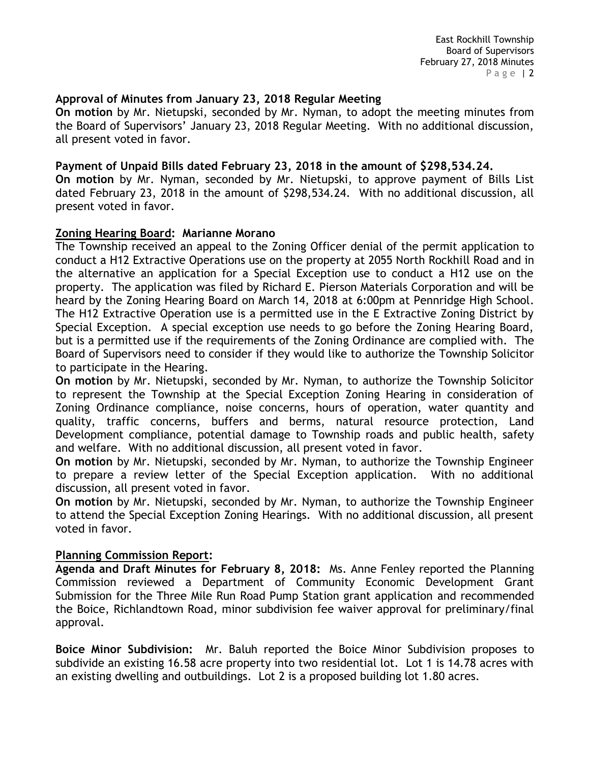# **Approval of Minutes from January 23, 2018 Regular Meeting**

**On motion** by Mr. Nietupski, seconded by Mr. Nyman, to adopt the meeting minutes from the Board of Supervisors' January 23, 2018 Regular Meeting. With no additional discussion, all present voted in favor.

# **Payment of Unpaid Bills dated February 23, 2018 in the amount of \$298,534.24.**

**On motion** by Mr. Nyman, seconded by Mr. Nietupski, to approve payment of Bills List dated February 23, 2018 in the amount of \$298,534.24. With no additional discussion, all present voted in favor.

# **Zoning Hearing Board: Marianne Morano**

The Township received an appeal to the Zoning Officer denial of the permit application to conduct a H12 Extractive Operations use on the property at 2055 North Rockhill Road and in the alternative an application for a Special Exception use to conduct a H12 use on the property. The application was filed by Richard E. Pierson Materials Corporation and will be heard by the Zoning Hearing Board on March 14, 2018 at 6:00pm at Pennridge High School. The H12 Extractive Operation use is a permitted use in the E Extractive Zoning District by Special Exception. A special exception use needs to go before the Zoning Hearing Board, but is a permitted use if the requirements of the Zoning Ordinance are complied with. The Board of Supervisors need to consider if they would like to authorize the Township Solicitor to participate in the Hearing.

**On motion** by Mr. Nietupski, seconded by Mr. Nyman, to authorize the Township Solicitor to represent the Township at the Special Exception Zoning Hearing in consideration of Zoning Ordinance compliance, noise concerns, hours of operation, water quantity and quality, traffic concerns, buffers and berms, natural resource protection, Land Development compliance, potential damage to Township roads and public health, safety and welfare. With no additional discussion, all present voted in favor.

**On motion** by Mr. Nietupski, seconded by Mr. Nyman, to authorize the Township Engineer to prepare a review letter of the Special Exception application. With no additional discussion, all present voted in favor.

**On motion** by Mr. Nietupski, seconded by Mr. Nyman, to authorize the Township Engineer to attend the Special Exception Zoning Hearings. With no additional discussion, all present voted in favor.

# **Planning Commission Report:**

**Agenda and Draft Minutes for February 8, 2018:** Ms. Anne Fenley reported the Planning Commission reviewed a Department of Community Economic Development Grant Submission for the Three Mile Run Road Pump Station grant application and recommended the Boice, Richlandtown Road, minor subdivision fee waiver approval for preliminary/final approval.

**Boice Minor Subdivision:** Mr. Baluh reported the Boice Minor Subdivision proposes to subdivide an existing 16.58 acre property into two residential lot. Lot 1 is 14.78 acres with an existing dwelling and outbuildings. Lot 2 is a proposed building lot 1.80 acres.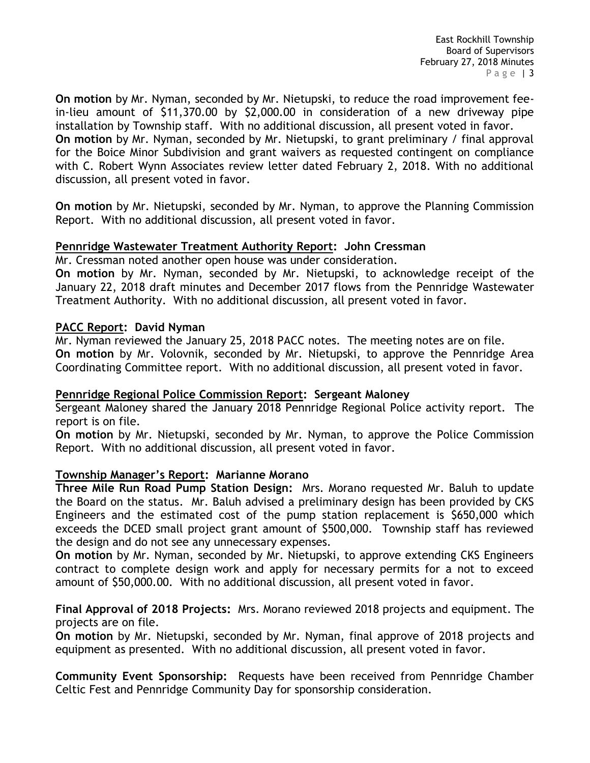East Rockhill Township Board of Supervisors February 27, 2018 Minutes Page  $|3$ 

**On motion** by Mr. Nyman, seconded by Mr. Nietupski, to reduce the road improvement feein-lieu amount of \$11,370.00 by \$2,000.00 in consideration of a new driveway pipe installation by Township staff. With no additional discussion, all present voted in favor. **On motion** by Mr. Nyman, seconded by Mr. Nietupski, to grant preliminary / final approval for the Boice Minor Subdivision and grant waivers as requested contingent on compliance with C. Robert Wynn Associates review letter dated February 2, 2018. With no additional discussion, all present voted in favor.

**On motion** by Mr. Nietupski, seconded by Mr. Nyman, to approve the Planning Commission Report. With no additional discussion, all present voted in favor.

# **Pennridge Wastewater Treatment Authority Report: John Cressman**

Mr. Cressman noted another open house was under consideration.

**On motion** by Mr. Nyman, seconded by Mr. Nietupski, to acknowledge receipt of the January 22, 2018 draft minutes and December 2017 flows from the Pennridge Wastewater Treatment Authority. With no additional discussion, all present voted in favor.

### **PACC Report: David Nyman**

Mr. Nyman reviewed the January 25, 2018 PACC notes. The meeting notes are on file. **On motion** by Mr. Volovnik, seconded by Mr. Nietupski, to approve the Pennridge Area Coordinating Committee report. With no additional discussion, all present voted in favor.

#### **Pennridge Regional Police Commission Report: Sergeant Maloney**

Sergeant Maloney shared the January 2018 Pennridge Regional Police activity report. The report is on file.

**On motion** by Mr. Nietupski, seconded by Mr. Nyman, to approve the Police Commission Report. With no additional discussion, all present voted in favor.

#### **Township Manager's Report: Marianne Morano**

**Three Mile Run Road Pump Station Design:** Mrs. Morano requested Mr. Baluh to update the Board on the status. Mr. Baluh advised a preliminary design has been provided by CKS Engineers and the estimated cost of the pump station replacement is \$650,000 which exceeds the DCED small project grant amount of \$500,000. Township staff has reviewed the design and do not see any unnecessary expenses.

**On motion** by Mr. Nyman, seconded by Mr. Nietupski, to approve extending CKS Engineers contract to complete design work and apply for necessary permits for a not to exceed amount of \$50,000.00. With no additional discussion, all present voted in favor.

**Final Approval of 2018 Projects:** Mrs. Morano reviewed 2018 projects and equipment. The projects are on file.

**On motion** by Mr. Nietupski, seconded by Mr. Nyman, final approve of 2018 projects and equipment as presented. With no additional discussion, all present voted in favor.

**Community Event Sponsorship:** Requests have been received from Pennridge Chamber Celtic Fest and Pennridge Community Day for sponsorship consideration.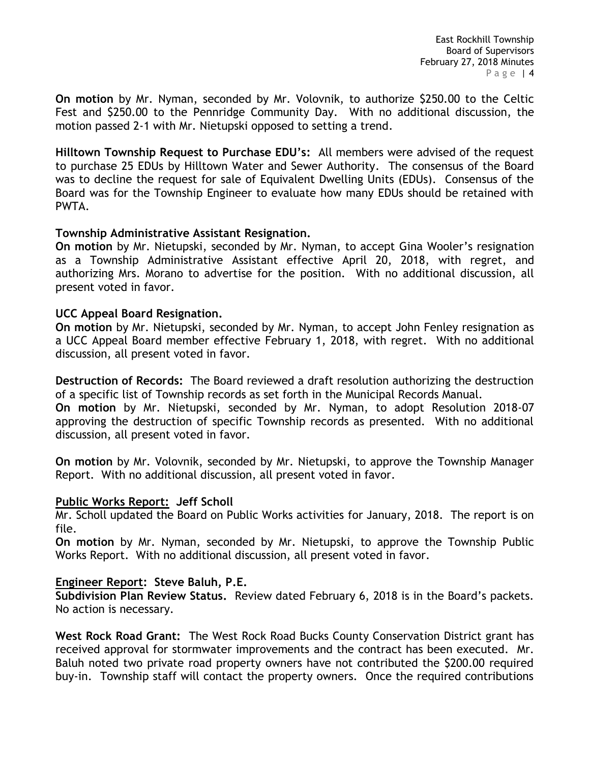**On motion** by Mr. Nyman, seconded by Mr. Volovnik, to authorize \$250.00 to the Celtic Fest and \$250.00 to the Pennridge Community Day. With no additional discussion, the motion passed 2-1 with Mr. Nietupski opposed to setting a trend.

**Hilltown Township Request to Purchase EDU's:** All members were advised of the request to purchase 25 EDUs by Hilltown Water and Sewer Authority. The consensus of the Board was to decline the request for sale of Equivalent Dwelling Units (EDUs). Consensus of the Board was for the Township Engineer to evaluate how many EDUs should be retained with PWTA.

# **Township Administrative Assistant Resignation.**

**On motion** by Mr. Nietupski, seconded by Mr. Nyman, to accept Gina Wooler's resignation as a Township Administrative Assistant effective April 20, 2018, with regret, and authorizing Mrs. Morano to advertise for the position. With no additional discussion, all present voted in favor.

# **UCC Appeal Board Resignation.**

**On motion** by Mr. Nietupski, seconded by Mr. Nyman, to accept John Fenley resignation as a UCC Appeal Board member effective February 1, 2018, with regret. With no additional discussion, all present voted in favor.

**Destruction of Records:** The Board reviewed a draft resolution authorizing the destruction of a specific list of Township records as set forth in the Municipal Records Manual. **On motion** by Mr. Nietupski, seconded by Mr. Nyman, to adopt Resolution 2018-07 approving the destruction of specific Township records as presented. With no additional discussion, all present voted in favor.

**On motion** by Mr. Volovnik, seconded by Mr. Nietupski, to approve the Township Manager Report. With no additional discussion, all present voted in favor.

# **Public Works Report: Jeff Scholl**

Mr. Scholl updated the Board on Public Works activities for January, 2018. The report is on file.

**On motion** by Mr. Nyman, seconded by Mr. Nietupski, to approve the Township Public Works Report. With no additional discussion, all present voted in favor.

# **Engineer Report: Steve Baluh, P.E.**

**Subdivision Plan Review Status.** Review dated February 6, 2018 is in the Board's packets. No action is necessary.

**West Rock Road Grant:** The West Rock Road Bucks County Conservation District grant has received approval for stormwater improvements and the contract has been executed. Mr. Baluh noted two private road property owners have not contributed the \$200.00 required buy-in. Township staff will contact the property owners. Once the required contributions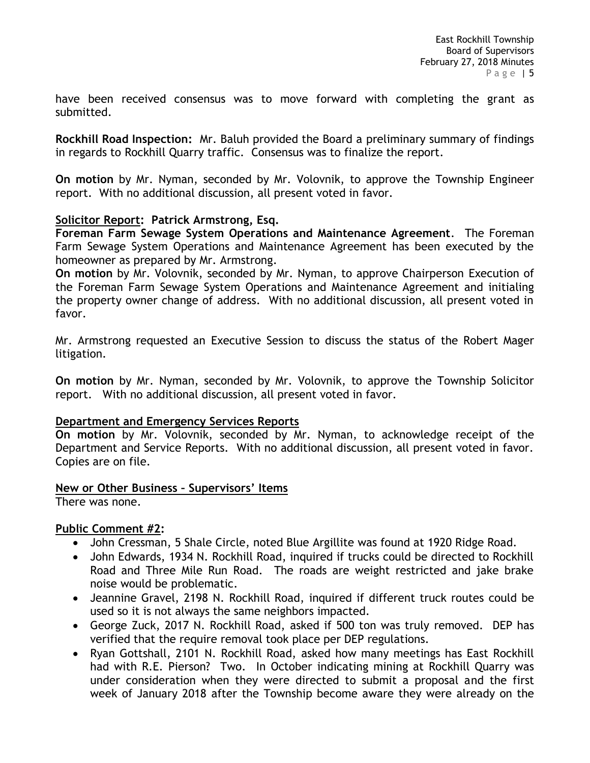have been received consensus was to move forward with completing the grant as submitted.

**Rockhill Road Inspection:** Mr. Baluh provided the Board a preliminary summary of findings in regards to Rockhill Quarry traffic. Consensus was to finalize the report.

**On motion** by Mr. Nyman, seconded by Mr. Volovnik, to approve the Township Engineer report. With no additional discussion, all present voted in favor.

# **Solicitor Report: Patrick Armstrong, Esq.**

**Foreman Farm Sewage System Operations and Maintenance Agreement**. The Foreman Farm Sewage System Operations and Maintenance Agreement has been executed by the homeowner as prepared by Mr. Armstrong.

**On motion** by Mr. Volovnik, seconded by Mr. Nyman, to approve Chairperson Execution of the Foreman Farm Sewage System Operations and Maintenance Agreement and initialing the property owner change of address. With no additional discussion, all present voted in favor.

Mr. Armstrong requested an Executive Session to discuss the status of the Robert Mager litigation.

**On motion** by Mr. Nyman, seconded by Mr. Volovnik, to approve the Township Solicitor report. With no additional discussion, all present voted in favor.

#### **Department and Emergency Services Reports**

**On motion** by Mr. Volovnik, seconded by Mr. Nyman, to acknowledge receipt of the Department and Service Reports. With no additional discussion, all present voted in favor. Copies are on file.

#### **New or Other Business – Supervisors' Items**

There was none.

# **Public Comment #2:**

- John Cressman, 5 Shale Circle, noted Blue Argillite was found at 1920 Ridge Road.
- John Edwards, 1934 N. Rockhill Road, inquired if trucks could be directed to Rockhill Road and Three Mile Run Road. The roads are weight restricted and jake brake noise would be problematic.
- Jeannine Gravel, 2198 N. Rockhill Road, inquired if different truck routes could be used so it is not always the same neighbors impacted.
- George Zuck, 2017 N. Rockhill Road, asked if 500 ton was truly removed. DEP has verified that the require removal took place per DEP regulations.
- Ryan Gottshall, 2101 N. Rockhill Road, asked how many meetings has East Rockhill had with R.E. Pierson? Two. In October indicating mining at Rockhill Quarry was under consideration when they were directed to submit a proposal and the first week of January 2018 after the Township become aware they were already on the